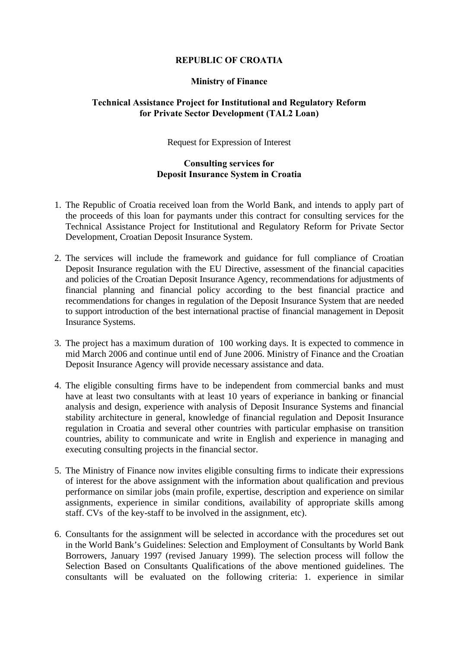## **REPUBLIC OF CROATIA**

## **Ministry of Finance**

## **Technical Assistance Project for Institutional and Regulatory Reform for Private Sector Development (TAL2 Loan)**

Request for Expression of Interest

## **Consulting services for Deposit Insurance System in Croatia**

- 1. The Republic of Croatia received loan from the World Bank, and intends to apply part of the proceeds of this loan for paymants under this contract for consulting services for the Technical Assistance Project for Institutional and Regulatory Reform for Private Sector Development, Croatian Deposit Insurance System.
- 2. The services will include the framework and guidance for full compliance of Croatian Deposit Insurance regulation with the EU Directive, assessment of the financial capacities and policies of the Croatian Deposit Insurance Agency, recommendations for adjustments of financial planning and financial policy according to the best financial practice and recommendations for changes in regulation of the Deposit Insurance System that are needed to support introduction of the best international practise of financial management in Deposit Insurance Systems.
- 3. The project has a maximum duration of 100 working days. It is expected to commence in mid March 2006 and continue until end of June 2006. Ministry of Finance and the Croatian Deposit Insurance Agency will provide necessary assistance and data.
- 4. The eligible consulting firms have to be independent from commercial banks and must have at least two consultants with at least 10 years of experiance in banking or financial analysis and design, experience with analysis of Deposit Insurance Systems and financial stability architecture in general, knowledge of financial regulation and Deposit Insurance regulation in Croatia and several other countries with particular emphasise on transition countries, ability to communicate and write in English and experience in managing and executing consulting projects in the financial sector.
- 5. The Ministry of Finance now invites eligible consulting firms to indicate their expressions of interest for the above assignment with the information about qualification and previous performance on similar jobs (main profile, expertise, description and experience on similar assignments, experience in similar conditions, availability of appropriate skills among staff. CVs of the key-staff to be involved in the assignment, etc).
- 6. Consultants for the assignment will be selected in accordance with the procedures set out in the World Bank's Guidelines: Selection and Employment of Consultants by World Bank Borrowers, January 1997 (revised January 1999). The selection process will follow the Selection Based on Consultants Qualifications of the above mentioned guidelines. The consultants will be evaluated on the following criteria: 1. experience in similar